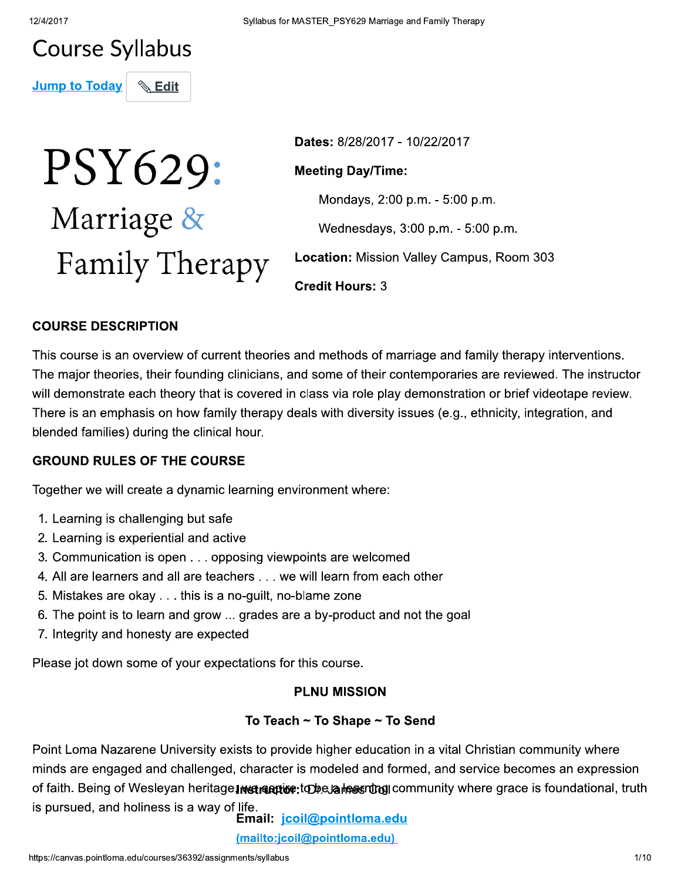# **Course Syllabus**

**Jump to Today**  $\mathrel{\mathop{\otimes}}$  Edit

# PSY629: Marriage & Family Therapy

Dates: 8/28/2017 - 10/22/2017

# **Meeting Day/Time:**

Mondays, 2:00 p.m. - 5:00 p.m.

Wednesdays, 3:00 p.m. - 5:00 p.m.

Location: Mission Valley Campus, Room 303

**Credit Hours: 3** 

## **COURSE DESCRIPTION**

This course is an overview of current theories and methods of marriage and family therapy interventions. The major theories, their founding clinicians, and some of their contemporaries are reviewed. The instructor will demonstrate each theory that is covered in class via role play demonstration or brief videotape review. There is an emphasis on how family therapy deals with diversity issues (e.g., ethnicity, integration, and blended families) during the clinical hour.

#### **GROUND RULES OF THE COURSE**

Together we will create a dynamic learning environment where:

- 1. Learning is challenging but safe
- 2. Learning is experiential and active
- 3. Communication is open . . . opposing viewpoints are welcomed
- 4. All are learners and all are teachers . . . we will learn from each other
- 5. Mistakes are okay . . . this is a no-guilt, no-blame zone
- 6. The point is to learn and grow ... grades are a by-product and not the goal
- 7. Integrity and honesty are expected

Please jot down some of your expectations for this course.

# **PLNU MISSION**

# To Teach  $\sim$  To Shape  $\sim$  To Send

Point Loma Nazarene University exists to provide higher education in a vital Christian community where minds are engaged and challenged, character is modeled and formed, and service becomes an expression of faith. Being of Wesleyan heritage Instraction: to bela heasing community where grace is foundational, truth is pursued, and holiness is a way of life.

Email: jcoil@pointloma.edu (mailto:jcoil@pointloma.edu)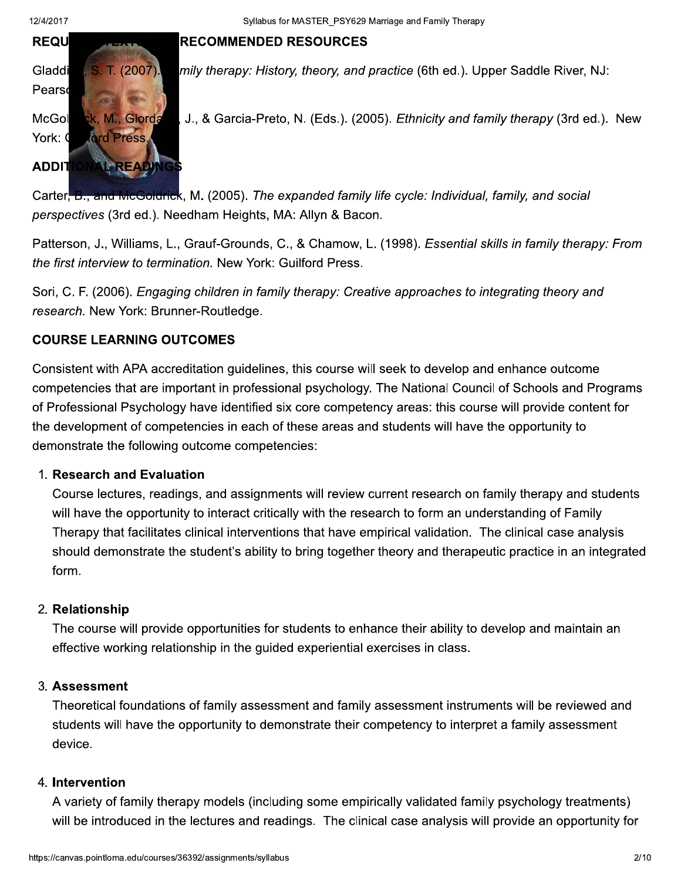# **RECOMMENDED RESOURCES**



mily therapy: History, theory, and practice (6th ed.). Upper Saddle River, NJ:

J., & Garcia-Preto, N. (Eds.). (2005). Ethnicity and family therapy (3rd ed.). New

B., and McGoldrick, M. (2005). The expanded family life cycle: Individual, family, and social Carter. perspectives (3rd ed.). Needham Heights, MA: Allyn & Bacon.

Patterson, J., Williams, L., Grauf-Grounds, C., & Chamow, L. (1998). Essential skills in family therapy: From the first interview to termination. New York: Guilford Press.

Sori, C. F. (2006). Engaging children in family therapy: Creative approaches to integrating theory and research. New York: Brunner-Routledge.

# **COURSE LEARNING OUTCOMES**

Consistent with APA accreditation quidelines, this course will seek to develop and enhance outcome competencies that are important in professional psychology. The National Council of Schools and Programs of Professional Psychology have identified six core competency areas: this course will provide content for the development of competencies in each of these areas and students will have the opportunity to demonstrate the following outcome competencies:

#### 1. Research and Evaluation

Course lectures, readings, and assignments will review current research on family therapy and students will have the opportunity to interact critically with the research to form an understanding of Family Therapy that facilitates clinical interventions that have empirical validation. The clinical case analysis should demonstrate the student's ability to bring together theory and therapeutic practice in an integrated form.

#### 2. Relationship

The course will provide opportunities for students to enhance their ability to develop and maintain an effective working relationship in the guided experiential exercises in class.

#### 3. Assessment

Theoretical foundations of family assessment and family assessment instruments will be reviewed and students will have the opportunity to demonstrate their competency to interpret a family assessment device.

#### 4. Intervention

A variety of family therapy models (including some empirically validated family psychology treatments) will be introduced in the lectures and readings. The clinical case analysis will provide an opportunity for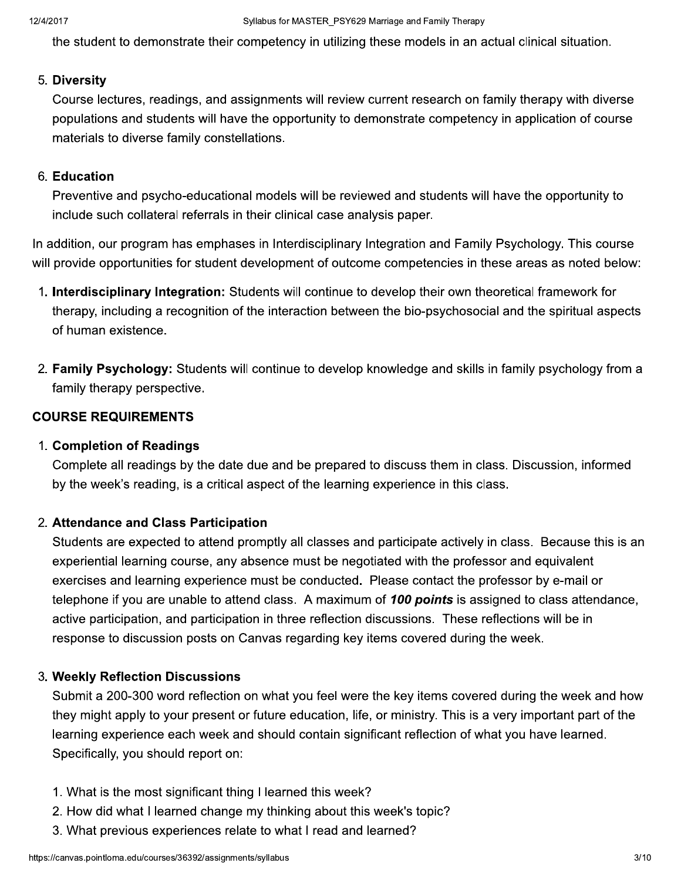the student to demonstrate their competency in utilizing these models in an actual clinical situation.

#### 5. Diversity

Course lectures, readings, and assignments will review current research on family therapy with diverse populations and students will have the opportunity to demonstrate competency in application of course materials to diverse family constellations.

#### 6. Education

Preventive and psycho-educational models will be reviewed and students will have the opportunity to include such collateral referrals in their clinical case analysis paper.

In addition, our program has emphases in Interdisciplinary Integration and Family Psychology. This course will provide opportunities for student development of outcome competencies in these areas as noted below:

- 1. Interdisciplinary Integration: Students will continue to develop their own theoretical framework for therapy, including a recognition of the interaction between the bio-psychosocial and the spiritual aspects of human existence.
- 2. Family Psychology: Students will continue to develop knowledge and skills in family psychology from a family therapy perspective.

#### **COURSE REQUIREMENTS**

#### 1. Completion of Readings

Complete all readings by the date due and be prepared to discuss them in class. Discussion, informed by the week's reading, is a critical aspect of the learning experience in this class.

#### 2. Attendance and Class Participation

Students are expected to attend promptly all classes and participate actively in class. Because this is an experiential learning course, any absence must be negotiated with the professor and equivalent exercises and learning experience must be conducted. Please contact the professor by e-mail or telephone if you are unable to attend class. A maximum of 100 points is assigned to class attendance, active participation, and participation in three reflection discussions. These reflections will be in response to discussion posts on Canvas regarding key items covered during the week.

#### 3. Weekly Reflection Discussions

Submit a 200-300 word reflection on what you feel were the key items covered during the week and how they might apply to your present or future education, life, or ministry. This is a very important part of the learning experience each week and should contain significant reflection of what you have learned. Specifically, you should report on:

- 1. What is the most significant thing I learned this week?
- 2. How did what I learned change my thinking about this week's topic?
- 3. What previous experiences relate to what I read and learned?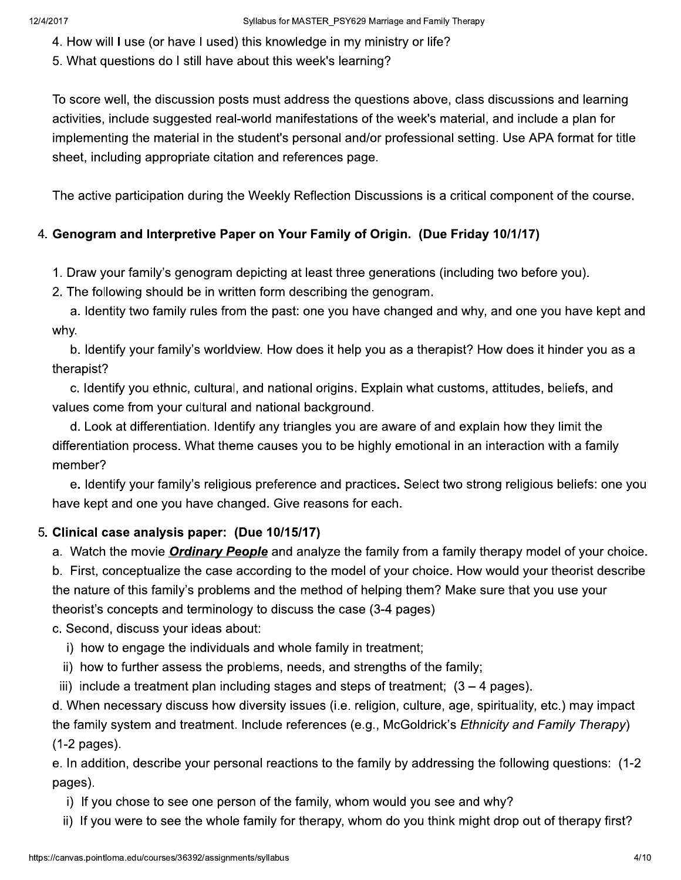- 4. How will I use (or have I used) this knowledge in my ministry or life?
- 5. What questions do I still have about this week's learning?

To score well, the discussion posts must address the questions above, class discussions and learning activities, include suggested real-world manifestations of the week's material, and include a plan for implementing the material in the student's personal and/or professional setting. Use APA format for title sheet, including appropriate citation and references page.

The active participation during the Weekly Reflection Discussions is a critical component of the course.

# 4. Genogram and Interpretive Paper on Your Family of Origin. (Due Friday 10/1/17)

1. Draw your family's genogram depicting at least three generations (including two before you).

2. The following should be in written form describing the genogram.

a. Identity two family rules from the past: one you have changed and why, and one you have kept and why.

b. Identify your family's worldview. How does it help you as a therapist? How does it hinder you as a therapist?

c. Identify you ethnic, cultural, and national origins. Explain what customs, attitudes, beliefs, and values come from your cultural and national background.

d. Look at differentiation. Identify any triangles you are aware of and explain how they limit the differentiation process. What theme causes you to be highly emotional in an interaction with a family member?

e. Identify your family's religious preference and practices. Select two strong religious beliefs: one you have kept and one you have changed. Give reasons for each.

# 5. Clinical case analysis paper: (Due 10/15/17)

a. Watch the movie *Ordinary People* and analyze the family from a family therapy model of your choice.

b. First, conceptualize the case according to the model of your choice. How would your theorist describe the nature of this family's problems and the method of helping them? Make sure that you use your theorist's concepts and terminology to discuss the case (3-4 pages)

c. Second, discuss your ideas about:

- i) how to engage the individuals and whole family in treatment;
- ii) how to further assess the problems, needs, and strengths of the family;
- iii) include a treatment plan including stages and steps of treatment;  $(3 4$  pages).

d. When necessary discuss how diversity issues (i.e. religion, culture, age, spirituality, etc.) may impact the family system and treatment. Include references (e.g., McGoldrick's *Ethnicity and Family Therapy*)  $(1-2$  pages).

e. In addition, describe your personal reactions to the family by addressing the following questions: (1-2) pages).

- i) If you chose to see one person of the family, whom would you see and why?
- ii) If you were to see the whole family for therapy, whom do you think might drop out of therapy first?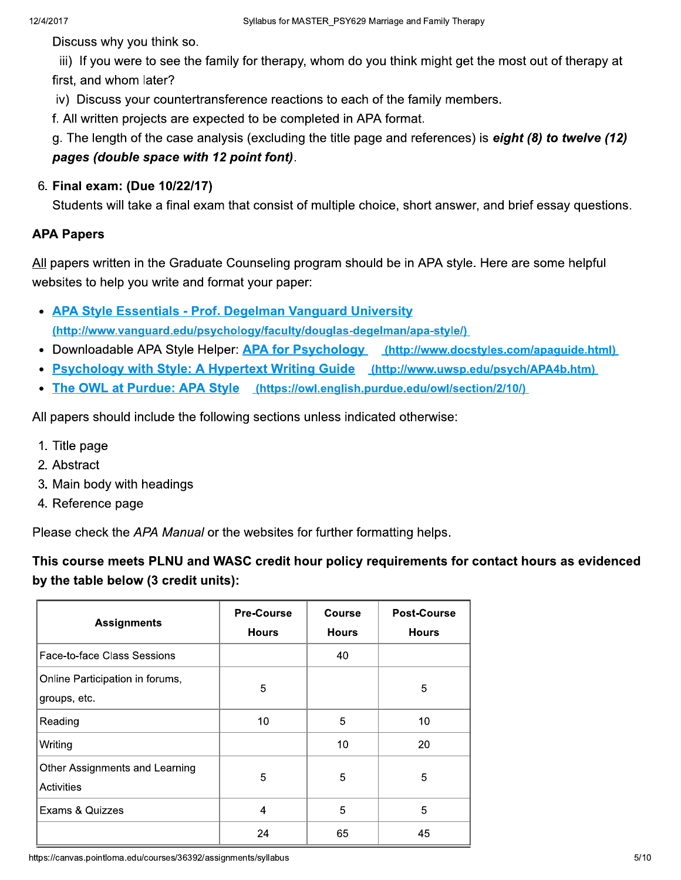Discuss why you think so.

iii) If you were to see the family for therapy, whom do you think might get the most out of therapy at first, and whom later?

iv) Discuss your countertransference reactions to each of the family members.

f. All written projects are expected to be completed in APA format.

g. The length of the case analysis (excluding the title page and references) is eight  $(8)$  to twelve  $(12)$ pages (double space with 12 point font).

# 6. Final exam: (Due 10/22/17)

Students will take a final exam that consist of multiple choice, short answer, and brief essay questions.

# **APA Papers**

All papers written in the Graduate Counseling program should be in APA style. Here are some helpful websites to help you write and format your paper:

- APA Style Essentials Prof. Degelman Vanguard University (http://www.vanguard.edu/psychology/faculty/douglas-degelman/apa-style/)
- Downloadable APA Style Helper: APA for Psychology (http://www.docstyles.com/apaguide.html)
- Psychology with Style: A Hypertext Writing Guide (http://www.uwsp.edu/psych/APA4b.htm)
- The OWL at Purdue: APA Style (https://owl.english.purdue.edu/owl/section/2/10/)

All papers should include the following sections unless indicated otherwise:

- 1. Title page
- 2. Abstract
- 3. Main body with headings
- 4. Reference page

Please check the APA Manual or the websites for further formatting helps.

This course meets PLNU and WASC credit hour policy requirements for contact hours as evidenced by the table below (3 credit units):

| <b>Assignments</b>                                  | <b>Pre-Course</b><br><b>Hours</b> | Course<br><b>Hours</b> | Post-Course<br><b>Hours</b> |
|-----------------------------------------------------|-----------------------------------|------------------------|-----------------------------|
| Face-to-face Class Sessions                         |                                   | 40                     |                             |
| Online Participation in forums,<br>groups, etc.     | 5                                 |                        | 5                           |
| Reading                                             | 10                                | 5                      | 10                          |
| Writing                                             |                                   | 10                     | 20                          |
| Other Assignments and Learning<br><b>Activities</b> | 5                                 | 5                      | 5                           |
| Exams & Quizzes                                     | $\overline{4}$                    | 5                      | 5                           |
|                                                     | 24                                | 65                     | 45                          |

https://canvas.pointloma.edu/courses/36392/assignments/syllabus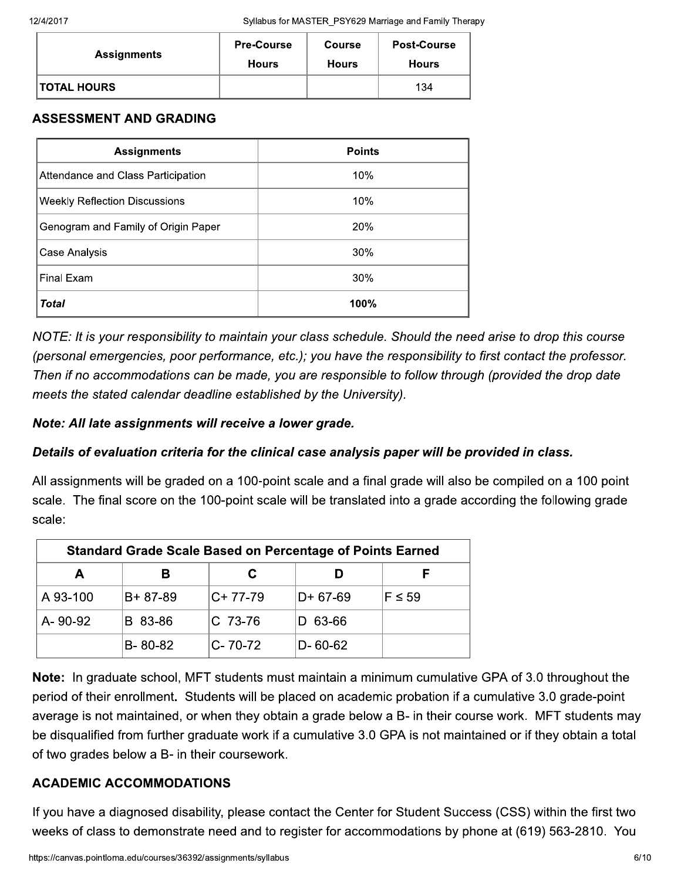| <b>Assignments</b> | <b>Pre-Course</b> | <b>Course</b> | <b>Post-Course</b> |
|--------------------|-------------------|---------------|--------------------|
|                    | <b>Hours</b>      | <b>Hours</b>  | <b>Hours</b>       |
| <b>TOTAL HOURS</b> |                   |               | 134                |

# **ASSESSMENT AND GRADING**

| <b>Assignments</b>                   | <b>Points</b> |
|--------------------------------------|---------------|
| Attendance and Class Participation   | 10%           |
| <b>Weekly Reflection Discussions</b> | 10%           |
| Genogram and Family of Origin Paper  | <b>20%</b>    |
| Case Analysis                        | 30%           |
| Final Exam                           | 30%           |
| <b>Total</b>                         | 100%          |

NOTE: It is your responsibility to maintain your class schedule. Should the need arise to drop this course (personal emergencies, poor performance, etc.); you have the responsibility to first contact the professor. Then if no accommodations can be made, you are responsible to follow through (provided the drop date meets the stated calendar deadline established by the University).

## Note: All late assignments will receive a lower grade.

# Details of evaluation criteria for the clinical case analysis paper will be provided in class.

All assignments will be graded on a 100-point scale and a final grade will also be compiled on a 100 point scale. The final score on the 100-point scale will be translated into a grade according the following grade scale:

| <b>Standard Grade Scale Based on Percentage of Points Earned</b> |               |           |               |             |
|------------------------------------------------------------------|---------------|-----------|---------------|-------------|
| А                                                                | В             |           |               |             |
| A 93-100                                                         | B+87-89       | $C+77-79$ | $D+67-69$     | $F \leq 59$ |
| A-90-92                                                          | B 83-86       | $C$ 73-76 | D 63-66       |             |
|                                                                  | $B - 80 - 82$ | C-70-72   | $D - 60 - 62$ |             |

Note: In graduate school, MFT students must maintain a minimum cumulative GPA of 3.0 throughout the period of their enrollment. Students will be placed on academic probation if a cumulative 3.0 grade-point average is not maintained, or when they obtain a grade below a B- in their course work. MFT students may be disqualified from further graduate work if a cumulative 3.0 GPA is not maintained or if they obtain a total of two grades below a B- in their coursework.

# **ACADEMIC ACCOMMODATIONS**

If you have a diagnosed disability, please contact the Center for Student Success (CSS) within the first two weeks of class to demonstrate need and to register for accommodations by phone at (619) 563-2810. You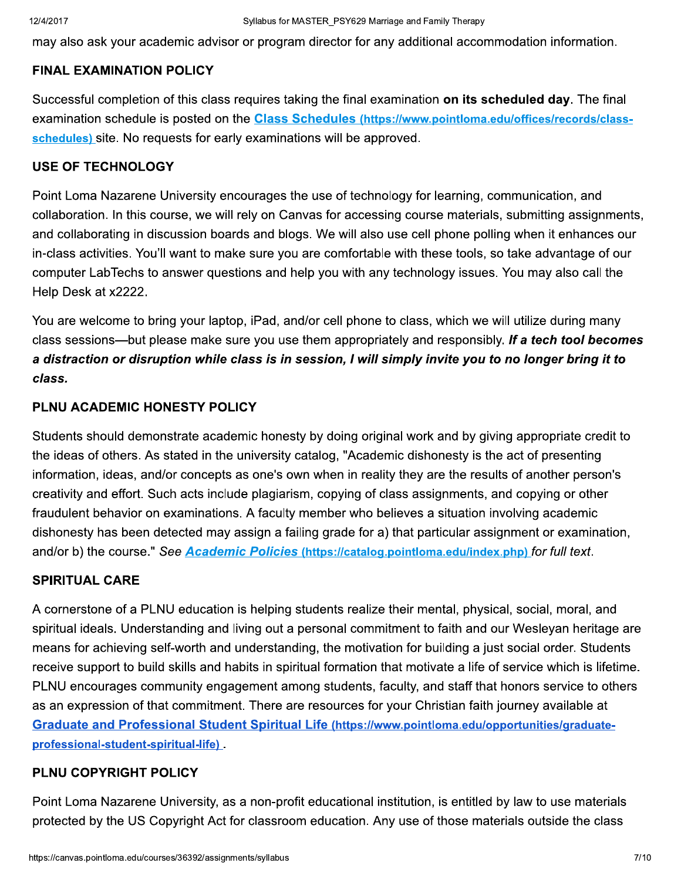may also ask your academic advisor or program director for any additional accommodation information.

#### **FINAL EXAMINATION POLICY**

Successful completion of this class requires taking the final examination on its scheduled day. The final examination schedule is posted on the Class Schedules (https://www.pointloma.edu/offices/records/classschedules) site. No requests for early examinations will be approved.

#### **USE OF TECHNOLOGY**

Point Loma Nazarene University encourages the use of technology for learning, communication, and collaboration. In this course, we will rely on Canvas for accessing course materials, submitting assignments, and collaborating in discussion boards and blogs. We will also use cell phone polling when it enhances our in-class activities. You'll want to make sure you are comfortable with these tools, so take advantage of our computer LabTechs to answer questions and help you with any technology issues. You may also call the Help Desk at x2222.

You are welcome to bring your laptop, iPad, and/or cell phone to class, which we will utilize during many class sessions—but please make sure you use them appropriately and responsibly. If a tech tool becomes a distraction or disruption while class is in session, I will simply invite you to no longer bring it to class.

#### PLNU ACADEMIC HONESTY POLICY

Students should demonstrate academic honesty by doing original work and by giving appropriate credit to the ideas of others. As stated in the university catalog, "Academic dishonesty is the act of presenting information, ideas, and/or concepts as one's own when in reality they are the results of another person's creativity and effort. Such acts include plagiarism, copying of class assignments, and copying or other fraudulent behavior on examinations. A faculty member who believes a situation involving academic dishonesty has been detected may assign a failing grade for a) that particular assignment or examination, and/or b) the course." See Academic Policies (https://catalog.pointloma.edu/index.php) for full text.

#### **SPIRITUAL CARE**

A cornerstone of a PLNU education is helping students realize their mental, physical, social, moral, and spiritual ideals. Understanding and living out a personal commitment to faith and our Wesleyan heritage are means for achieving self-worth and understanding, the motivation for building a just social order. Students receive support to build skills and habits in spiritual formation that motivate a life of service which is lifetime. PLNU encourages community engagement among students, faculty, and staff that honors service to others as an expression of that commitment. There are resources for your Christian faith journey available at Graduate and Professional Student Spiritual Life (https://www.pointloma.edu/opportunities/graduateprofessional-student-spiritual-life).

#### PLNU COPYRIGHT POLICY

Point Loma Nazarene University, as a non-profit educational institution, is entitled by law to use materials protected by the US Copyright Act for classroom education. Any use of those materials outside the class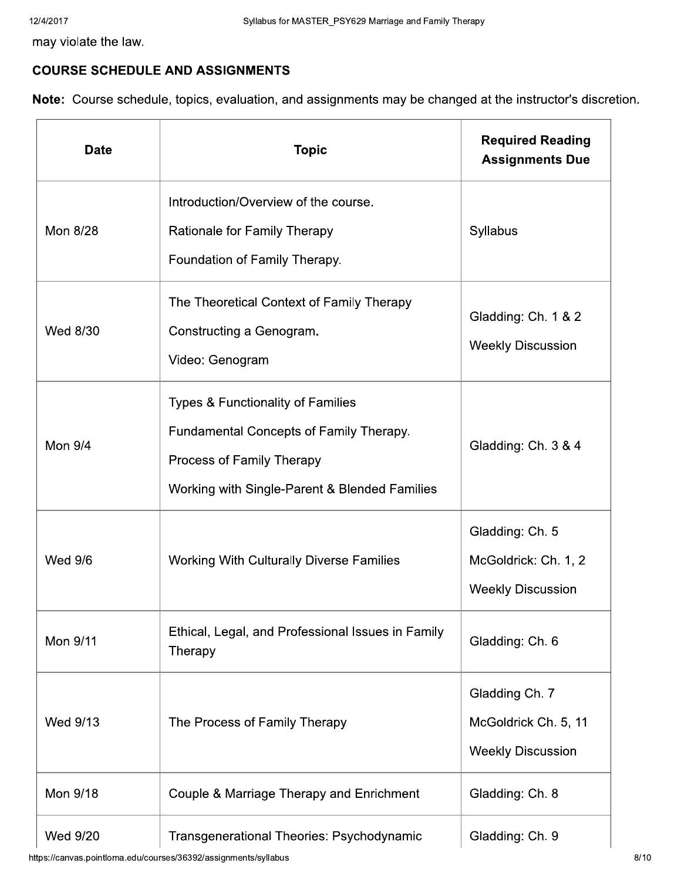may violate the law.

# **COURSE SCHEDULE AND ASSIGNMENTS**

Note: Course schedule, topics, evaluation, and assignments may be changed at the instructor's discretion.

| <b>Date</b>    | <b>Topic</b>                                                                                                                                                          | <b>Required Reading</b><br><b>Assignments Due</b>                   |
|----------------|-----------------------------------------------------------------------------------------------------------------------------------------------------------------------|---------------------------------------------------------------------|
| Mon 8/28       | Introduction/Overview of the course.<br>Rationale for Family Therapy<br>Foundation of Family Therapy.                                                                 | Syllabus                                                            |
| Wed 8/30       | The Theoretical Context of Family Therapy<br>Constructing a Genogram.<br>Video: Genogram                                                                              | Gladding: Ch. 1 & 2<br><b>Weekly Discussion</b>                     |
| <b>Mon 9/4</b> | <b>Types &amp; Functionality of Families</b><br>Fundamental Concepts of Family Therapy.<br>Process of Family Therapy<br>Working with Single-Parent & Blended Families | Gladding: Ch. 3 & 4                                                 |
| <b>Wed 9/6</b> | <b>Working With Culturally Diverse Families</b>                                                                                                                       | Gladding: Ch. 5<br>McGoldrick: Ch. 1, 2<br><b>Weekly Discussion</b> |
| Mon 9/11       | Ethical, Legal, and Professional Issues in Family<br>Therapy                                                                                                          | Gladding: Ch. 6                                                     |
| Wed 9/13       | The Process of Family Therapy                                                                                                                                         | Gladding Ch. 7<br>McGoldrick Ch. 5, 11<br><b>Weekly Discussion</b>  |
| Mon 9/18       | Couple & Marriage Therapy and Enrichment                                                                                                                              | Gladding: Ch. 8                                                     |
| Wed 9/20       | Transgenerational Theories: Psychodynamic                                                                                                                             | Gladding: Ch. 9                                                     |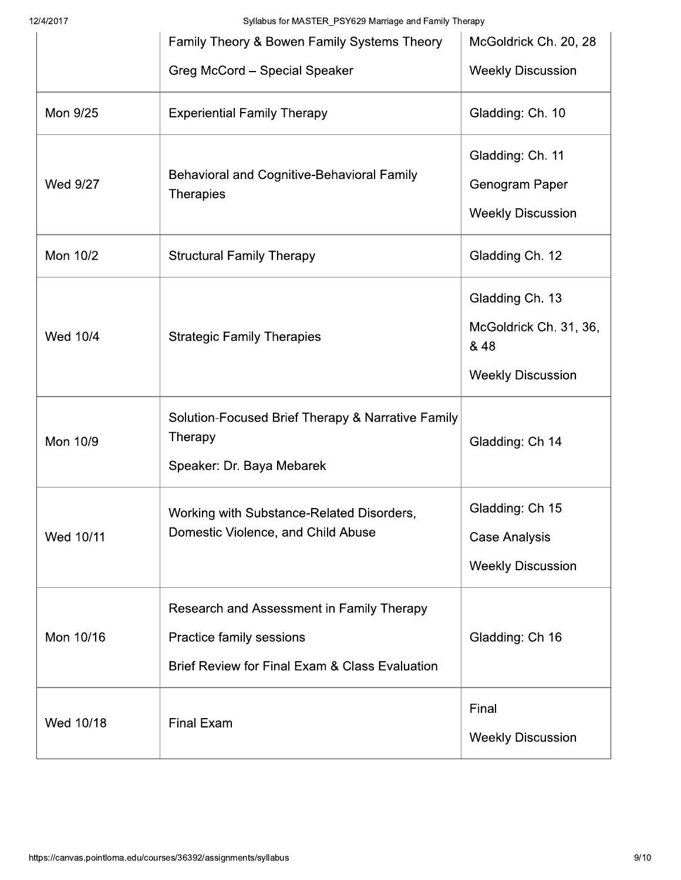12/4/2017

Syllabus for MASTER PSY629 Marriage and Family Therapy

|           | Family Theory & Bowen Family Systems Theory                                                                                        | McGoldrick Ch. 20, 28                                                         |
|-----------|------------------------------------------------------------------------------------------------------------------------------------|-------------------------------------------------------------------------------|
|           | Greg McCord - Special Speaker                                                                                                      | <b>Weekly Discussion</b>                                                      |
| Mon 9/25  | <b>Experiential Family Therapy</b>                                                                                                 | Gladding: Ch. 10                                                              |
| Wed 9/27  | Behavioral and Cognitive-Behavioral Family<br><b>Therapies</b>                                                                     | Gladding: Ch. 11<br>Genogram Paper<br><b>Weekly Discussion</b>                |
| Mon 10/2  | <b>Structural Family Therapy</b>                                                                                                   | Gladding Ch. 12                                                               |
| Wed 10/4  | <b>Strategic Family Therapies</b>                                                                                                  | Gladding Ch. 13<br>McGoldrick Ch. 31, 36,<br>& 48<br><b>Weekly Discussion</b> |
| Mon 10/9  | Solution-Focused Brief Therapy & Narrative Family<br>Therapy<br>Speaker: Dr. Baya Mebarek                                          | Gladding: Ch 14                                                               |
| Wed 10/11 | Working with Substance-Related Disorders,<br>Domestic Violence, and Child Abuse                                                    | Gladding: Ch 15<br><b>Case Analysis</b><br><b>Weekly Discussion</b>           |
| Mon 10/16 | Research and Assessment in Family Therapy<br>Practice family sessions<br><b>Brief Review for Final Exam &amp; Class Evaluation</b> | Gladding: Ch 16                                                               |
| Wed 10/18 | <b>Final Exam</b>                                                                                                                  | Final<br><b>Weekly Discussion</b>                                             |